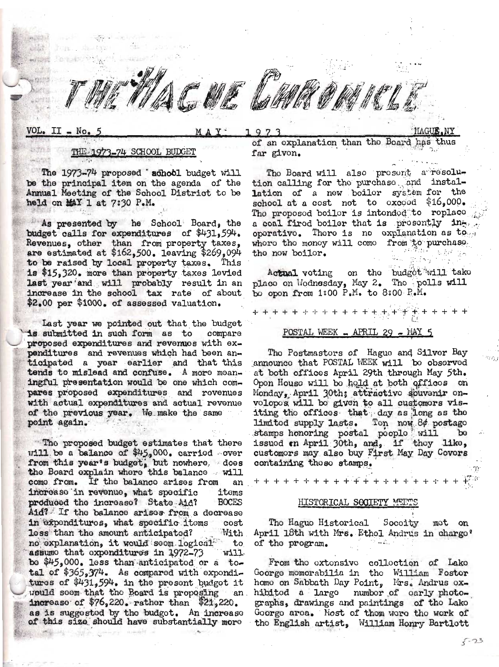VOL. II - No.

## 973

## HAGUE.NY

## 1973-74 SCHOOL BUDGET

The 1973-74 proposed school budget will be the principal item on the agenda of the Annual Meeting of the School District to be held on MAY 1 at 7:30 P.M.

As presented by he School Board, the budget calls for expenditures of \$431,594. Revenues, other than from property taxes, are estimated at \$162,500. leaving \$269,094 to be raised by local property taxes. This is \$15,320. more than property taxes levied last year and will probably result in an increase in the school tax rate of about \$2.00 per \$1000. of assessed valuation.

Last year we pointed out that the budget is submitted in such form as to compare proposed expenditures and revenues with expenditures and revenues which had been anticipated a year earlier and that this tends to mislead and confuse. A more meaningful presentation would be one which compares proposed expenditures and revenues with actual expenditures and actual revenue of the previous year. We make the same point again.

The proposed budget estimates that there will be a balance of \$45,000. carried over from this year's budget, but nowhere. does<br>the Board explain where this balance will come from. If the balance arises from an increase in revenue, what specific items produced the increase? State Aid? **BOCES** Aid? If the balance arises from a decrease in expenditures, what specific items cost loss than the amount anticipated? With no explanation, it would seem logical to assumo that expenditures in 1972-73  $W111$ be \$45,000. less than anticipated or a total of \$365,374. As compared with exponditures of \$431,594. in the present budget it would soom that the Board is proposing an. increase of  $$76,220$ . rather than  $$21,220$ . as is suggested by the budget. An increase of this size should have substantially more

of an explanation than the Board has far givon.

The Board will also prosent a resolution calling for the purchase and installation of a new boiler system for the school at a cost not to oxcood  $$16,000$ . The proposed boiler is intended to replace a coal fired boiler that is presently inoperative. There is no explanation as to whore the money will come from to purchase the now boilor.

Actual voting on the budgot will take place on Wodnesday, May 2. The polls will bo open from 1:00 P.M. to 8:00 P.M.

 $\begin{array}{l} + + + + + + + + \frac{1}{2} + \frac{1}{2} + \frac{1}{2} + \frac{1}{2} + \frac{1}{2} + \frac{1}{2} + \frac{1}{2} + \frac{1}{2} + \frac{1}{2} + \frac{1}{2} + \frac{1}{2} + \frac{1}{2} + \frac{1}{2} + \frac{1}{2} + \frac{1}{2} + \frac{1}{2} + \frac{1}{2} + \frac{1}{2} + \frac{1}{2} + \frac{1}{2} + \frac{1}{2} + \frac{1}{2} + \frac{1}{2} + \frac{1}{2} + \frac{1}{2} + \frac{1}{$ <u>POSTAL WEEK - APRIL 29 - MAY 5</u>

The Postmastors of Hague and Silver Bay announce that POSTAL WEEK will be observed at both offices April 29th through May 5th. Opon House will be held at both offices on Monday, April 30th; attractivo souvenir onvolopos will bo given to all customors visiting the offices that day as long as the<br>limited supply lasts. Ton now 8¢ postage stamps honoring postal poople will  $b^{\circ}$ issued on April 30th, and, if they like, customors may also buy First May Day Covors containing those stamps.

## HISTORICAL SOCIETY MEETS

Tho Haguo Historical Socoity mot on April 18th with Mrs. Ethol Andrus in chargo' of the program.

From tho oxtensive collection of Lake Goorge momorabilia in tho William Fostor homo on Sabbath Day Point, Mrs. Andrus oxhibitod a large number of early photographs, drawings and paintings of the Lake Goorgo aroa. Most of thom wore the work of tho English artist, William Honry Bartlott

 $5 - 23$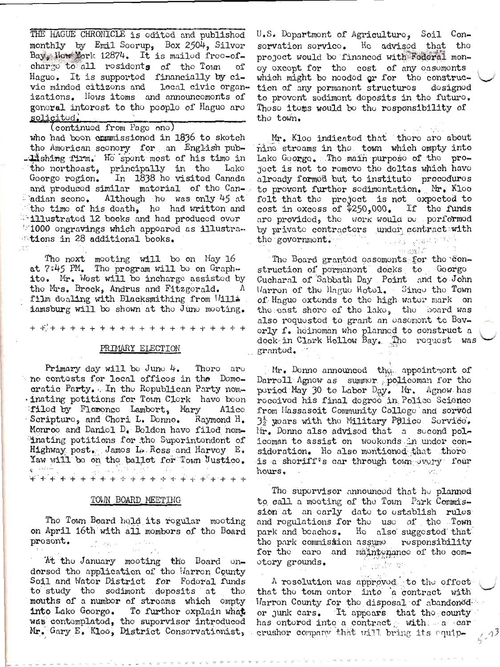THE HAGUE CHRONICLE is odited and published monthly by Emil Soorup, Box 2504, Silvor Bay, How York 12874. It is mailed free-ofcharge to all residents of the Town of Haguo. It is supported financially by civic mindod citizons and local civic organizations. Hows itoms and announcomonts of gonoral interest to the people of Hague are solicitud.

(continued from Pago one) who had boon commissioned in 1836 to sketch the American sconery for an English pub-. Lishing firm. He spent most of his time in the northoast, principally in the Lake Goorgo rogion. In 1838 ho visitod Canada and produced similar material of the Canadian scono. Although ho was only 45 at the time of his death, he had written and **111ustrated 12 books and had produced over** "1000 ongravings which appoared as illustrations in 28 additional books.

The noxt meeting will be on May 16 at 7:45 PM. Tho program will be on Graphite. Mr. Wost will be incharge assisted by the Mrs. Brock, Andrus and Fitzgerald. film doaling with Blacksmithing from Willa iamsburg will bo shown at the June meeting.

#### PRIMARY ELECTION

Primary day will be June  $4$ . Thoro are no contosts for local officos in the Domocratic Party. In the Republican Party nom-. inating potitions for Town Clerk have been filod by Floronce Lambort, Mary Alico Scripturo, and Chori L. Donno. Raymond H. Monroo and Daniol D. Bolden have filed nom-Inating potitions for the Superintendent of Highway post. Jamos L. Ross and Harvoy E. Yaw will be on the ballot for Town Justice. **\\*++++++++++++++++++++** 

## TOWN BOARD MEETING

The Town Board held its regular meeting on April 16th with all mombors of the Board prosont.

At the January mooting the Board ondorsod the application of the Warren County Soil and Wator District for Fodoral funds to study the sediment deposits at tho mouths of a numbor of stroams which ompty into Lako Goorgo. To furthor oxplain what was contomplated, the supervisor introduced Mr. Gary E. Kloo, District Consorvationist, U.S. Dopartmont of Agriculturo, Soil Con-Ho advised that the sorvation sorvice. project would be financed with Federal monoy oxcopt for tho cost of any oasomonts which might bo noodod or for the construction of any pormanont structuros dosigned to provent sediment deposits in the future. Thoso itoms would bo tho rosponsibility of tho town.

Mr. Kloo indicated that there are about nine stroams in tho town which empty into Lako Goorgo. Tho main purposo of tho projoct is not to romovo the deltas which have alroady formod but to instituto procoduros to provent further sedimentation. Mr. Klee folt that the project is not expected to cost in oxcoss of  $$250,000$ . If the funds are provided, the work would be porformed by private contractors under contract with the government. s lagy great till

a amh <sup>a</sup> The Board granted easements for the construction of pormanont docks to Goorgo Cucharal of Sabbath Day Point and to John Warron of the Hague Hotel. Since the Town of Hague extends to the high water mark on the east shore of the lake, the board was also requested to grant an easement to Bevorly f. hoinoman who planned to construct a dock in Clark Hollow Bay. The request was grantod.

Mr. Donno announcod the appointmont of Darroll Agnow as summor policoman for tho poriod May 30 to Labor Day. Mr. Agnow has rocoivod his final dogroo in Polico Scienco from Massasoit Community Colloge and sorved  $3\frac{1}{2}$  yoars with the Military Police. Service. Mr. Donno also advised that a second policoman to assist on wookonds in undor consideration. He also mentioned that there is a shoriff's car through town overy four hours.

The supervisor announced that  $h\circ$  planned to call a mooting of the Town Park Commission at an early date to establish rules and rogulations for the use of the Town park and boachos. Ho also suggested that tho park commission assumo rosponsibility for the care and maintenance of the comotory grounds.

A rosolution was approved to the offoct that the town onter into 'a contract with Warron County for the disposal of abandoned or junk cars. It appoars that the county has entered into a contract with a car crushor company that will bring its equip-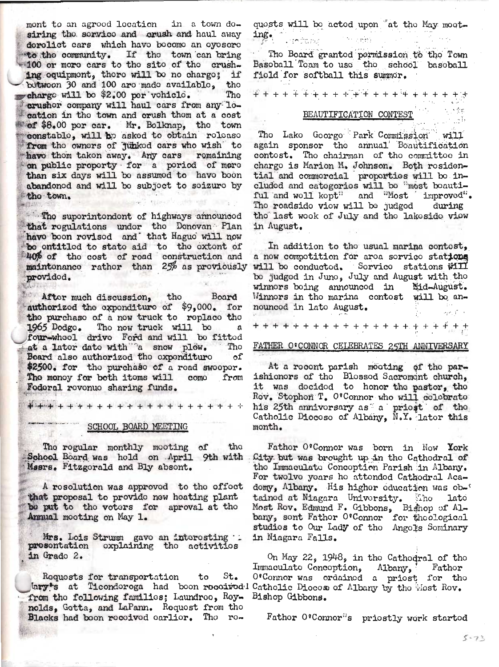mont to an agrood location in a town dosiring the service and orush and haul away derelict cars which have become an eyesere to the community. If the town can bring 100 or more cars to the site of the crushing equipment, there will be no charge; if botwoon 30 and 100 are made available, the charge will be \$2.00 per vohiclo. Tho crushor company will haul cars from any location in the town and crush them at a cost of \$8.00 por car. Mr. Bolknap, the town constable, will be asked to obtain release from the owners of junked cars who wish to have them taken away. Any cars remaining on public proporty for a poriod of more than six days will be assumed to have boon abandonod and will be subject to seizure by tho town.

The superintendent of highways announced that regulations under the Donovan Plan<br>have been revised and that Hague will now bo ontitled to state aid to the extent of 40% of the cost of road construction and maintonance rather than 25% as proviously provided.

Aftor much discussion, the Board<br>authorized the exponditure of \$9,000. for tho purchaso of a now truck to replace the 1965 Dodgo. The now truck will be  $\mathbf{a}$ four-whool drive Ford and will be fitted at a lator dato with "a snow plow. Tho Board also authorized the expenditure of \$2500. for the purchase of a read sweeper. The money for both items will come from Fodoral rovonuo sharing funds.

\*\*\*\*\*\*\*\*\*\*\*\*\*\*\*\*\*\*\*\*\*\*\*

# SCHOOL BOARD MEETING

The regular monthly mooting of tho School Board was hold on April 9th with. Mssrs. Fitzgorald and Bly absont.

A rosolution was approved to the effect that proposal to provido new hoating plant bo put to tho votors for aproval at tho Annual mooting on May 1.

Mrs. Lois Strumm gavo an intorosting .. prosentation explaining the activities in Grado 2.

Requests for transportation to St. lary's at Ticondoroga had boon rocoirodd Catholic Diocose of Albany by the Most Rov. from the following families; Laundreo, Rey- Bishop Gibbons. nolds, Gotta, and LaPann. Request from the Blacks had boon received earlier. The ro-

quosts will be acted upon "at the May moeting. المروم ووشيع وال

The Board granted permission to the Town Basoball Toam to use the school basoball field for softball this summor.

<del>₽¥¥¥¥¥¥¥¥°¥¥¥¥¥¥¥¥¥¥¥¥</del>

# BEAUTIFICATION CONTEST

The Lake Goorge Park Commission will again sponsor the annual Boautification contost. The chairman of the committee in chargo is Marion M. Johnson. Both rosidential and commercial proporties will be included and categories will be "most beautiful and woll kopt" and "Most 'improved". Tho roadsido viow will be judged during the last wook of July and the lakeside view in August.

In addition to the usual marina contost. a now compotition for aroa sorvico stations will be conducted. Service stations will be judged in June, July and August with the winnors boing announcod in Mid-August. Winnors in tho marina contost will be announced in late August. 

FATHER O'CONNOR CELEBRATES 25TH ANNIVERSARY

At a rocont parish mooting of the parishionors of tho Blossod Sacromont church, it was docided to honor the pastor, the Rov. Stophon T. O'Connor who will colobrate his 25th annivorsary as a priost of the Catholic Diocoso of Albany, N.Y. lator this month.

Fathor O'Connor was born in Now York City but was brought up in the Cathedral of the Immaculate Conception Parish in Albany. For twolvo yoars ho attended Cathodral Acadomy, Albany. His higher education was obtained at Niagara University. The late<br>Most Rov. Edmund F. Gibbons, Bighop of Al-<br>bany, sont Father O'Connor for theological studios to Our Lady of tho Angols Sominary in Niagara Falls.

On May 22, 1948, in the Cathodral of the Immaculato Concoption, Albany, Father O'Connor was ordained a priest for the

Fathor O'Connor"s priostly work started